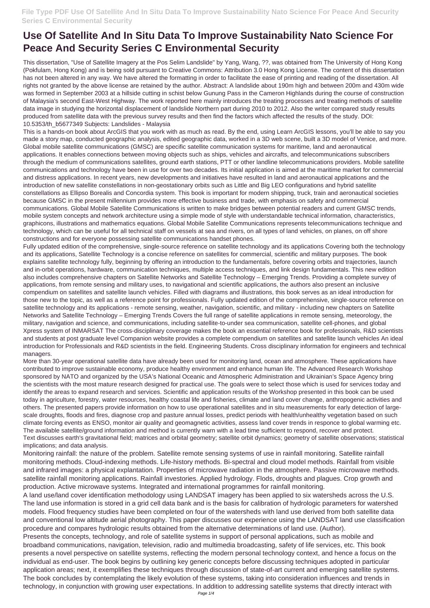## **Use Of Satellite And In Situ Data To Improve Sustainability Nato Science For Peace And Security Series C Environmental Security**

This dissertation, "Use of Satellite Imagery at the Pos Selim Landslide" by Yang, Wang, ??, was obtained from The University of Hong Kong (Pokfulam, Hong Kong) and is being sold pursuant to Creative Commons: Attribution 3.0 Hong Kong License. The content of this dissertation has not been altered in any way. We have altered the formatting in order to facilitate the ease of printing and reading of the dissertation. All rights not granted by the above license are retained by the author. Abstract: A landslide about 190m high and between 200m and 430m wide was formed in September 2003 at a hillside cutting in schist below Gunung Pass in the Cameron Highlands during the course of construction of Malaysia's second East-West Highway. The work reported here mainly introduces the treating processes and treating methods of satellite data image in studying the horizontal displacement of landslide Northern part during 2010 to 2012. Also the writer compared study results produced from satellite data with the previous survey results and then find the factors which affected the results of the study. DOI: 10.5353/th\_b5677349 Subjects: Landslides - Malaysia

This is a hands-on book about ArcGIS that you work with as much as read. By the end, using Learn ArcGIS lessons, you'll be able to say you made a story map, conducted geographic analysis, edited geographic data, worked in a 3D web scene, built a 3D model of Venice, and more. Global mobile satellite communications (GMSC) are specific satellite communication systems for maritime, land and aeronautical applications. It enables connections between moving objects such as ships, vehicles and aircrafts, and telecommunications subscribers through the medium of communications satellites, ground earth stations, PTT or other landline telecommunications providers. Mobile satellite communications and technology have been in use for over two decades. Its initial application is aimed at the maritime market for commercial and distress applications. In recent years, new developments and initiatives have resulted in land and aeronautical applications and the introduction of new satellite constellations in non-geostationary orbits such as Little and Big LEO configurations and hybrid satellite constellations as Ellipso Borealis and Concordia system. This book is important for modern shipping, truck, train and aeronautical societies because GMSC in the present millennium provides more effective business and trade, with emphasis on safety and commercial communications. Global Mobile Satellite Communications is written to make bridges between potential readers and current GMSC trends, mobile system concepts and network architecture using a simple mode of style with understandable technical information, characteristics, graphicons, illustrations and mathematics equations. Global Mobile Satellite Communications represents telecommunications technique and technology, which can be useful for all technical staff on vessels at sea and rivers, on all types of land vehicles, on planes, on off shore constructions and for everyone possessing satellite communications handset phones.

Fully updated edition of the comprehensive, single-source reference on satellite technology and its applications Covering both the technology and its applications, Satellite Technology is a concise reference on satellites for commercial, scientific and military purposes. The book explains satellite technology fully, beginning by offering an introduction to the fundamentals, before covering orbits and trajectories, launch and in-orbit operations, hardware, communication techniques, multiple access techniques, and link design fundamentals. This new edition also includes comprehensive chapters on Satellite Networks and Satellite Technology – Emerging Trends. Providing a complete survey of applications, from remote sensing and military uses, to navigational and scientific applications, the authors also present an inclusive compendium on satellites and satellite launch vehicles. Filled with diagrams and illustrations, this book serves as an ideal introduction for those new to the topic, as well as a reference point for professionals. Fully updated edition of the comprehensive, single-source reference on satellite technology and its applications - remote sensing, weather, navigation, scientific, and military - including new chapters on Satellite Networks and Satellite Technology – Emerging Trends Covers the full range of satellite applications in remote sensing, meteorology, the military, navigation and science, and communications, including satellite-to-under sea communication, satellite cell-phones, and global Xpress system of INMARSAT The cross-disciplinary coverage makes the book an essential reference book for professionals, R&D scientists and students at post graduate level Companion website provides a complete compendium on satellites and satellite launch vehicles An ideal introduction for Professionals and R&D scientists in the field. Engineering Students. Cross disciplinary information for engineers and technical managers.

More than 30-year operational satellite data have already been used for monitoring land, ocean and atmosphere. These applications have contributed to improve sustainable economy, produce healthy environment and enhance human life. The Advanced Research Workshop sponsored by NATO and organized by the USA's National Oceanic and Atmospheric Administration and Ukrainian's Space Agency bring the scientists with the most mature research designed for practical use. The goals were to select those which is used for services today and identify the areas to expand research and services. Scientific and application results of the Workshop presented in this book can be used today in agriculture, forestry, water resources, healthy coastal life and fisheries, climate and land cover change, anthropogenic activities and others. The presented papers provide information on how to use operational satellites and in situ measurements for early detection of largescale droughts, floods and fires, diagnose crop and pasture annual losses, predict periods with health/unhealthy vegetation based on such climate forcing events as ENSO, monitor air quality and geomagnetic activities, assess land cover trends in responce to global warming etc. The available satellite/ground information and method is currently warn with a lead time sufficient to respond, recover and protect. Text discusses earth's gravitational field; matrices and orbital geometry; satellite orbit dynamics; geometry of satellite observations; statistical implications; and data analysis.

Monitoring rainfall: the nature of the problem. Satellite remote sensing systems of use in rainfall monitoring. Satellite rainfall

monitoring methods. Cloud-indexing methods. Life-history methods. Bi-spectral and cloud model methods. Rainfall from visible and infrared images: a physical explantation. Properties of microwave radiation in the atmosphere. Passive microwave methods. satellite rainfall monitoring applications. Rainfall investories. Applied hydrology. Flods, droughts and plagues. Crop growth and production. Active microwave systems. Integrated and international programmes for rainfall monitoring. A land use/land cover identification methodology using LANDSAT imagery has been applied to six watersheds across the U.S. The land use information is stored in a grid cell data bank and is the basis for calibration of hydrologic parameters for watershed models. Flood frequency studies have been completed on four of the watersheds with land use derived from both satellite data and conventional low altitude aerial photography. This paper discusses our experience using the LANDSAT land use classification procedure and compares hydrologic results obtained from the alternative determinations of land use. (Author). Presents the concepts, technology, and role of satellite systems in support of personal applications, such as mobile and broadband communications, navigation, television, radio and multimedia broadcasting, safety of life services, etc. This book presents a novel perspective on satellite systems, reflecting the modern personal technology context, and hence a focus on the individual as end-user. The book begins by outlining key generic concepts before discussing techniques adopted in particular application areas; next, it exemplifies these techniques through discussion of state-of-art current and emerging satellite systems. The book concludes by contemplating the likely evolution of these systems, taking into consideration influences and trends in technology, in conjunction with growing user expectations. In addition to addressing satellite systems that directly interact with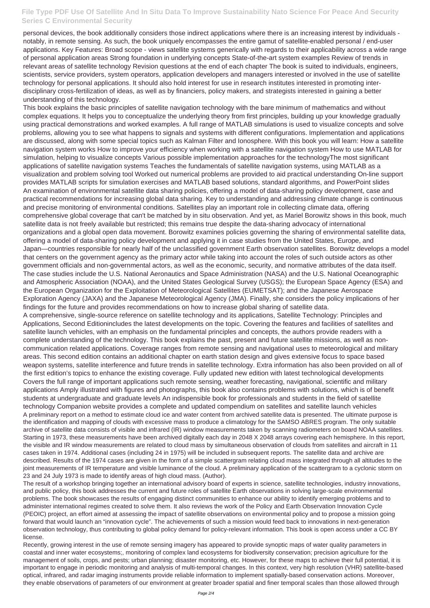## **File Type PDF Use Of Satellite And In Situ Data To Improve Sustainability Nato Science For Peace And Security Series C Environmental Security**

personal devices, the book additionally considers those indirect applications where there is an increasing interest by individuals notably, in remote sensing. As such, the book uniquely encompasses the entire gamut of satellite-enabled personal / end-user applications. Key Features: Broad scope - views satellite systems generically with regards to their applicability across a wide range of personal application areas Strong foundation in underlying concepts State-of-the-art system examples Review of trends in relevant areas of satellite technology Revision questions at the end of each chapter The book is suited to individuals, engineers, scientists, service providers, system operators, application developers and managers interested or involved in the use of satellite technology for personal applications. It should also hold interest for use in research institutes interested in promoting interdisciplinary cross-fertilization of ideas, as well as by financiers, policy makers, and strategists interested in gaining a better understanding of this technology.

This book explains the basic principles of satellite navigation technology with the bare minimum of mathematics and without complex equations. It helps you to conceptualize the underlying theory from first principles, building up your knowledge gradually using practical demonstrations and worked examples. A full range of MATLAB simulations is used to visualize concepts and solve problems, allowing you to see what happens to signals and systems with different configurations. Implementation and applications are discussed, along with some special topics such as Kalman Filter and Ionosphere. With this book you will learn: How a satellite navigation system works How to improve your efficiency when working with a satellite navigation system How to use MATLAB for simulation, helping to visualize concepts Various possible implementation approaches for the technologyThe most significant applications of satellite navigation systems Teaches the fundamentals of satellite navigation systems, using MATLAB as a visualization and problem solving tool Worked out numerical problems are provided to aid practical understanding On-line support provides MATLAB scripts for simulation exercises and MATLAB based solutions, standard algorithms, and PowerPoint slides An examination of environmental satellite data sharing policies, offering a model of data-sharing policy development, case and practical recommendations for increasing global data sharing. Key to understanding and addressing climate change is continuous and precise monitoring of environmental conditions. Satellites play an important role in collecting climate data, offering comprehensive global coverage that can't be matched by in situ observation. And yet, as Mariel Borowitz shows in this book, much satellite data is not freely available but restricted; this remains true despite the data-sharing advocacy of international organizations and a global open data movement. Borowitz examines policies governing the sharing of environmental satellite data, offering a model of data-sharing policy development and applying it in case studies from the United States, Europe, and Japan—countries responsible for nearly half of the unclassified government Earth observation satellites. Borowitz develops a model that centers on the government agency as the primary actor while taking into account the roles of such outside actors as other government officials and non-governmental actors, as well as the economic, security, and normative attributes of the data itself. The case studies include the U.S. National Aeronautics and Space Administration (NASA) and the U.S. National Oceanographic and Atmospheric Association (NOAA), and the United States Geological Survey (USGS); the European Space Agency (ESA) and the European Organization for the Exploitation of Meteorological Satellites (EUMETSAT); and the Japanese Aerospace Exploration Agency (JAXA) and the Japanese Meteorological Agency (JMA). Finally, she considers the policy implications of her findings for the future and provides recommendations on how to increase global sharing of satellite data. A comprehensive, single-source reference on satellite technology and its applications, Satellite Technology: Principles and Applications, Second Editionincludes the latest developments on the topic. Covering the features and facilities of satellites and satellite launch vehicles, with an emphasis on the fundamental principles and concepts, the authors provide readers with a

complete understanding of the technology. This book explains the past, present and future satellite missions, as well as noncommunication related applications. Coverage ranges from remote sensing and navigational uses to meteorological and military areas. This second edition contains an additional chapter on earth station design and gives extensive focus to space based weapon systems, satellite interference and future trends in satellite technology. Extra information has also been provided on all of the first edition's topics to enhance the existing coverage. Fully updated new edition with latest technological developments Covers the full range of important applications such remote sensing, weather forecasting, navigational, scientific and military applications Amply illustrated with figures and photographs, this book also contains problems with solutions, which is of benefit students at undergraduate and graduate levels An indispensible book for professionals and students in the field of satellite technology Companion website provides a complete and updated compendium on satellites and satellite launch vehicles A preliminary report on a method to estimate cloud ice and water content from archived satellite data is presented. The ultimate purpose is the identification and mapping of clouds with excessive mass to produce a climatology for the SAMSO ABRES program. The only suitable archive of satellite data consists of visible and infrared (IR) window measurements taken by scanning radiometers on board NOAA satellites. Starting in 1973, these measurements have been archived digitally each day in 2048 X 2048 arrays covering each hemisphere. In this report, the visible and IR window measurements are related to cloud mass by simultaneous observation of clouds from satellites and aircraft in 11 cases taken in 1974. Additional cases (including 24 in 1975) will be included in subsequent reports. The satellite data and archive are

described. Results of the 1974 cases are given in the form of a simple scattergram relating cloud mass integrated through all altitudes to the joint measurements of IR temperature and visible luminance of the cloud. A preliminary application of the scattergram to a cyclonic storm on 23 and 24 July 1973 is made to identify areas of high cloud mass. (Author).

The result of a workshop bringing together an international advisory board of experts in science, satellite technologies, industry innovations, and public policy, this book addresses the current and future roles of satellite Earth observations in solving large-scale environmental problems. The book showcases the results of engaging distinct communities to enhance our ability to identify emerging problems and to administer international regimes created to solve them. It also reviews the work of the Policy and Earth Observation Innovation Cycle (PEOIC) project, an effort aimed at assessing the impact of satellite observations on environmental policy and to propose a mission going forward that would launch an "innovation cycle". The achievements of such a mission would feed back to innovations in next-generation observation technology, thus contributing to global policy demand for policy-relevant information. This book is open access under a CC BY license.

Recently, growing interest in the use of remote sensing imagery has appeared to provide synoptic maps of water quality parameters in coastal and inner water ecosystems;, monitoring of complex land ecosystems for biodiversity conservation; precision agriculture for the management of soils, crops, and pests; urban planning; disaster monitoring, etc. However, for these maps to achieve their full potential, it is important to engage in periodic monitoring and analysis of multi-temporal changes. In this context, very high resolution (VHR) satellite-based optical, infrared, and radar imaging instruments provide reliable information to implement spatially-based conservation actions. Moreover, they enable observations of parameters of our environment at greater broader spatial and finer temporal scales than those allowed through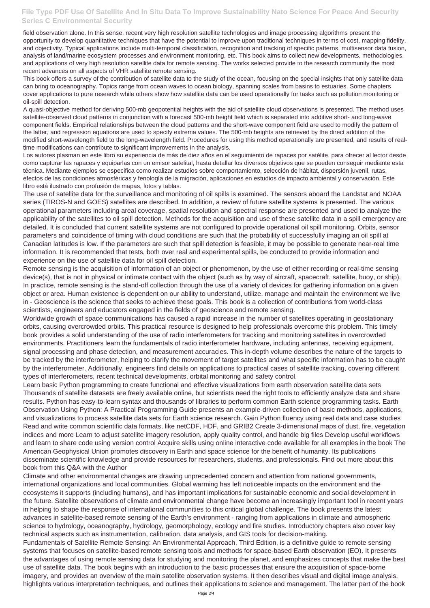## **File Type PDF Use Of Satellite And In Situ Data To Improve Sustainability Nato Science For Peace And Security Series C Environmental Security**

field observation alone. In this sense, recent very high resolution satellite technologies and image processing algorithms present the opportunity to develop quantitative techniques that have the potential to improve upon traditional techniques in terms of cost, mapping fidelity, and objectivity. Typical applications include multi-temporal classification, recognition and tracking of specific patterns, multisensor data fusion, analysis of land/marine ecosystem processes and environment monitoring, etc. This book aims to collect new developments, methodologies, and applications of very high resolution satellite data for remote sensing. The works selected provide to the research community the most recent advances on all aspects of VHR satellite remote sensing.

This book offers a survey of the contribution of satellite data to the study of the ocean, focusing on the special insights that only satellite data can bring to oceanography. Topics range from ocean waves to ocean biology, spanning scales from basins to estuaries. Some chapters cover applications to pure research while others show how satellite data can be used operationally for tasks such as pollution monitoring or oil-spill detection.

A quasi-objective method for deriving 500-mb geopotential heights with the aid of satellite cloud observations is presented. The method uses satellite-observed cloud patterns in conjunction with a forecast 500-mb height field which is separated into additive short- and long-wave component fields. Empirical relationships between the cloud patterns and the short-wave component field are used to modify the pattern of the latter, and regression equations are used to specify extrema values. The 500-mb heights are retrieved by the direct addition of the modified short-wavelength field to the long-wavelength field. Procedures for using this method operationally are presented, and results of realtime modifications can contribute to significant improvements in the analysis.

Los autores plasman en este libro su experiencia de más de diez años en el seguimiento de rapaces por satélite, para ofrecer al lector desde como capturar las rapaces y equiparlas con un emisor satelital, hasta detallar los diversos objetivos que se pueden conseguir mediante esta técnica. Mediante ejemplos se especifica como realizar estudios sobre comportamiento, selección de hábitat, dispersión juvenil, rutas, efectos de las condiciones atmosféricas y fenología de la migración, aplicaciones en estudios de impacto ambiental y conservación. Este libro está ilustrado con profusión de mapas, fotos y tablas.

The use of satellite data for the surveillance and monitoring of oil spills is examined. The sensors aboard the Landstat and NOAA series (TIROS-N and GOES) satellites are described. In addition, a review of future satellite systems is presented. The various operational parameters including areal coverage, spatial resolution and spectral response are presented and used to analyze the applicability of the satellites to oil spill detection. Methods for the acquisition and use of these satellite data in a spill emergency are detailed. It is concluded that current satellite systems are not configured to provide operational oil spill monitoring. Orbits, sensor parameters and coincidence of timing with cloud conditions are such that the probability of successfully imaging an oil spill at Canadian latitudes is low. If the parameters are such that spill detection is feasible, it may be possible to generate near-real time information. It is recommended that tests, both over real and experimental spills, be conducted to provide information and experience on the use of satellite data for oil spill detection.

Remote sensing is the acquisition of information of an object or phenomenon, by the use of either recording or real-time sensing device(s), that is not in physical or intimate contact with the object (such as by way of aircraft, spacecraft, satellite, buoy, or ship). In practice, remote sensing is the stand-off collection through the use of a variety of devices for gathering information on a given object or area. Human existence is dependent on our ability to understand, utilize, manage and maintain the environment we live in - Geoscience is the science that seeks to achieve these goals. This book is a collection of contributions from world-class scientists, engineers and educators engaged in the fields of geoscience and remote sensing.

Worldwide growth of space communications has caused a rapid increase in the number of satellites operating in geostationary orbits, causing overcrowded orbits. This practical resource is designed to help professionals overcome this problem. This timely book provides a solid understanding of the use of radio interferometers for tracking and monitoring satellites in overcrowded environments. Practitioners learn the fundamentals of radio interferometer hardware, including antennas, receiving equipment, signal processing and phase detection, and measurement accuracies. This in-depth volume describes the nature of the targets to be tracked by the interferometer, helping to clarify the movement of target satellites and what specific information has to be caught by the interferometer. Additionally, engineers find details on applications to practical cases of satellite tracking, covering different types of interferometers, recent technical developments, orbital monitoring and safety control.

Learn basic Python programming to create functional and effective visualizations from earth observation satellite data sets Thousands of satellite datasets are freely available online, but scientists need the right tools to efficiently analyze data and share results. Python has easy-to-learn syntax and thousands of libraries to perform common Earth science programming tasks. Earth Observation Using Python: A Practical Programming Guide presents an example-driven collection of basic methods, applications, and visualizations to process satellite data sets for Earth science research. Gain Python fluency using real data and case studies Read and write common scientific data formats, like netCDF, HDF, and GRIB2 Create 3-dimensional maps of dust, fire, vegetation indices and more Learn to adjust satellite imagery resolution, apply quality control, and handle big files Develop useful workflows and learn to share code using version control Acquire skills using online interactive code available for all examples in the book The American Geophysical Union promotes discovery in Earth and space science for the benefit of humanity. Its publications

disseminate scientific knowledge and provide resources for researchers, students, and professionals. Find out more about this book from this Q&A with the Author

Climate and other environmental changes are drawing unprecedented concern and attention from national governments, international organizations and local communities. Global warming has left noticeable impacts on the environment and the ecosystems it supports (including humans), and has important implications for sustainable economic and social development in the future. Satellite observations of climate and environmental change have become an increasingly important tool in recent years in helping to shape the response of international communities to this critical global challenge. The book presents the latest advances in satellite-based remote sensing of the Earth's environment - ranging from applications in climate and atmospheric science to hydrology, oceanography, hydrology, geomorphology, ecology and fire studies. Introductory chapters also cover key technical aspects such as instrumentation, calibration, data analysis, and GIS tools for decision-making. Fundamentals of Satellite Remote Sensing: An Environmental Approach, Third Edition, is a definitive guide to remote sensing systems that focuses on satellite-based remote sensing tools and methods for space-based Earth observation (EO). It presents the advantages of using remote sensing data for studying and monitoring the planet, and emphasizes concepts that make the best use of satellite data. The book begins with an introduction to the basic processes that ensure the acquisition of space-borne imagery, and provides an overview of the main satellite observation systems. It then describes visual and digital image analysis, highlights various interpretation techniques, and outlines their applications to science and management. The latter part of the book